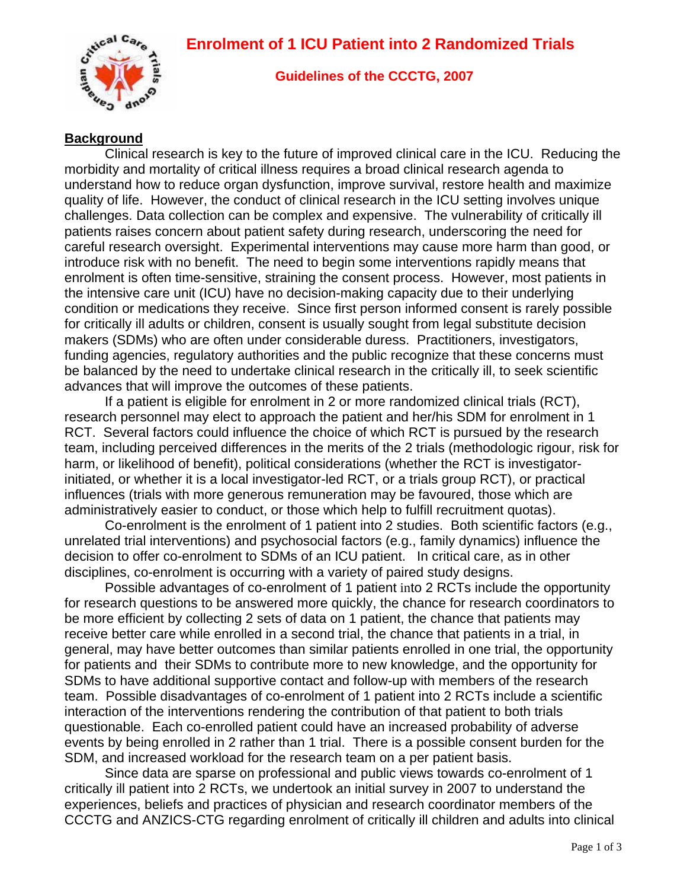## **Enrolment of 1 ICU Patient into 2 Randomized Trials**



#### **Guidelines of the CCCTG, 2007**

#### **Background**

Clinical research is key to the future of improved clinical care in the ICU. Reducing the morbidity and mortality of critical illness requires a broad clinical research agenda to understand how to reduce organ dysfunction, improve survival, restore health and maximize quality of life. However, the conduct of clinical research in the ICU setting involves unique challenges. Data collection can be complex and expensive. The vulnerability of critically ill patients raises concern about patient safety during research, underscoring the need for careful research oversight. Experimental interventions may cause more harm than good, or introduce risk with no benefit. The need to begin some interventions rapidly means that enrolment is often time-sensitive, straining the consent process. However, most patients in the intensive care unit (ICU) have no decision-making capacity due to their underlying condition or medications they receive. Since first person informed consent is rarely possible for critically ill adults or children, consent is usually sought from legal substitute decision makers (SDMs) who are often under considerable duress. Practitioners, investigators, funding agencies, regulatory authorities and the public recognize that these concerns must be balanced by the need to undertake clinical research in the critically ill, to seek scientific advances that will improve the outcomes of these patients.

If a patient is eligible for enrolment in 2 or more randomized clinical trials (RCT), research personnel may elect to approach the patient and her/his SDM for enrolment in 1 RCT. Several factors could influence the choice of which RCT is pursued by the research team, including perceived differences in the merits of the 2 trials (methodologic rigour, risk for harm, or likelihood of benefit), political considerations (whether the RCT is investigatorinitiated, or whether it is a local investigator-led RCT, or a trials group RCT), or practical influences (trials with more generous remuneration may be favoured, those which are administratively easier to conduct, or those which help to fulfill recruitment quotas).

Co-enrolment is the enrolment of 1 patient into 2 studies. Both scientific factors (e.g., unrelated trial interventions) and psychosocial factors (e.g., family dynamics) influence the decision to offer co-enrolment to SDMs of an ICU patient. In critical care, as in other disciplines, co-enrolment is occurring with a variety of paired study designs.

Possible advantages of co-enrolment of 1 patient into 2 RCTs include the opportunity for research questions to be answered more quickly, the chance for research coordinators to be more efficient by collecting 2 sets of data on 1 patient, the chance that patients may receive better care while enrolled in a second trial, the chance that patients in a trial, in general, may have better outcomes than similar patients enrolled in one trial, the opportunity for patients and their SDMs to contribute more to new knowledge, and the opportunity for SDMs to have additional supportive contact and follow-up with members of the research team. Possible disadvantages of co-enrolment of 1 patient into 2 RCTs include a scientific interaction of the interventions rendering the contribution of that patient to both trials questionable. Each co-enrolled patient could have an increased probability of adverse events by being enrolled in 2 rather than 1 trial. There is a possible consent burden for the SDM, and increased workload for the research team on a per patient basis.

 Since data are sparse on professional and public views towards co-enrolment of 1 critically ill patient into 2 RCTs, we undertook an initial survey in 2007 to understand the experiences, beliefs and practices of physician and research coordinator members of the CCCTG and ANZICS-CTG regarding enrolment of critically ill children and adults into clinical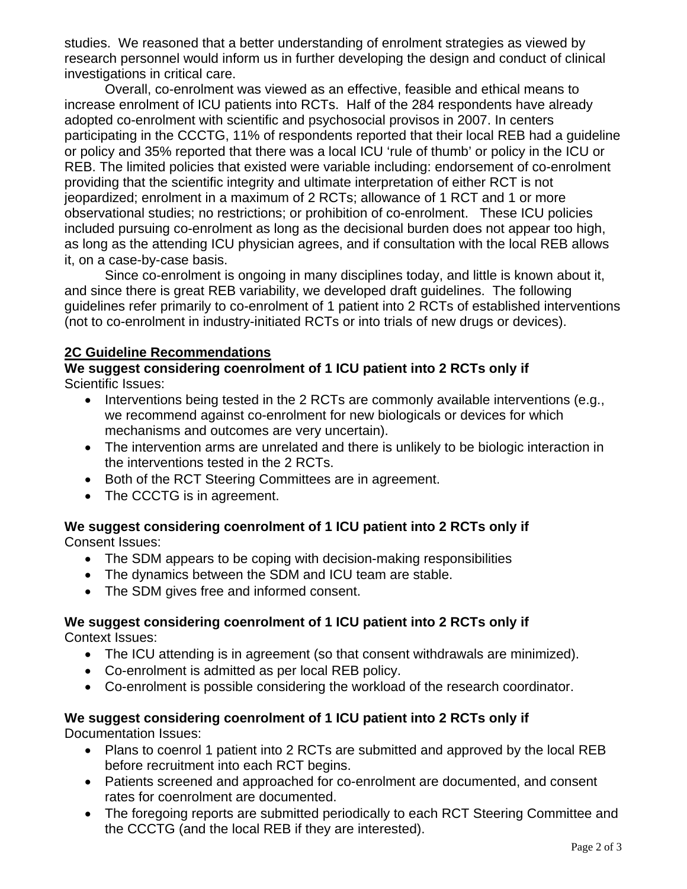studies. We reasoned that a better understanding of enrolment strategies as viewed by research personnel would inform us in further developing the design and conduct of clinical investigations in critical care.

Overall, co-enrolment was viewed as an effective, feasible and ethical means to increase enrolment of ICU patients into RCTs. Half of the 284 respondents have already adopted co-enrolment with scientific and psychosocial provisos in 2007. In centers participating in the CCCTG, 11% of respondents reported that their local REB had a guideline or policy and 35% reported that there was a local ICU 'rule of thumb' or policy in the ICU or REB. The limited policies that existed were variable including: endorsement of co-enrolment providing that the scientific integrity and ultimate interpretation of either RCT is not jeopardized; enrolment in a maximum of 2 RCTs; allowance of 1 RCT and 1 or more observational studies; no restrictions; or prohibition of co-enrolment. These ICU policies included pursuing co-enrolment as long as the decisional burden does not appear too high, as long as the attending ICU physician agrees, and if consultation with the local REB allows it, on a case-by-case basis.

Since co-enrolment is ongoing in many disciplines today, and little is known about it, and since there is great REB variability, we developed draft guidelines. The following guidelines refer primarily to co-enrolment of 1 patient into 2 RCTs of established interventions (not to co-enrolment in industry-initiated RCTs or into trials of new drugs or devices).

## **2C Guideline Recommendations**

## **We suggest considering coenrolment of 1 ICU patient into 2 RCTs only if**  Scientific Issues:

- Interventions being tested in the 2 RCTs are commonly available interventions (e.g., we recommend against co-enrolment for new biologicals or devices for which mechanisms and outcomes are very uncertain).
- The intervention arms are unrelated and there is unlikely to be biologic interaction in the interventions tested in the 2 RCTs.
- Both of the RCT Steering Committees are in agreement.
- The CCCTG is in agreement.

# **We suggest considering coenrolment of 1 ICU patient into 2 RCTs only if**

Consent Issues:

- The SDM appears to be coping with decision-making responsibilities
- The dynamics between the SDM and ICU team are stable.
- The SDM gives free and informed consent.

## **We suggest considering coenrolment of 1 ICU patient into 2 RCTs only if**

Context Issues:

- The ICU attending is in agreement (so that consent withdrawals are minimized).
- Co-enrolment is admitted as per local REB policy.
- Co-enrolment is possible considering the workload of the research coordinator.

## **We suggest considering coenrolment of 1 ICU patient into 2 RCTs only if**

Documentation Issues:

- Plans to coenrol 1 patient into 2 RCTs are submitted and approved by the local REB before recruitment into each RCT begins.
- Patients screened and approached for co-enrolment are documented, and consent rates for coenrolment are documented.
- The foregoing reports are submitted periodically to each RCT Steering Committee and the CCCTG (and the local REB if they are interested).